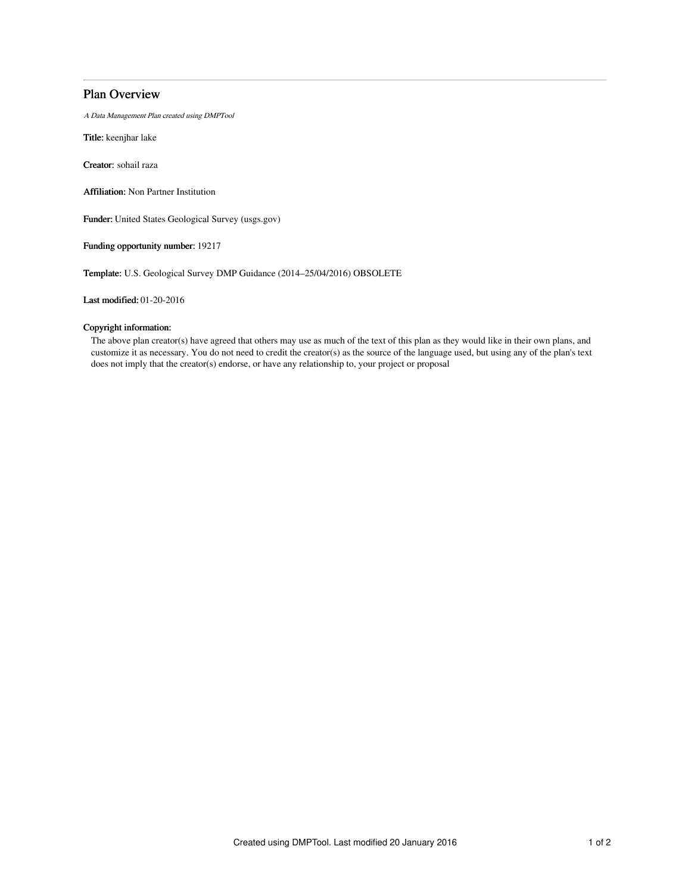# Plan Overview

A Data Management Plan created using DMPTool

Title: keenjhar lake

Creator: sohail raza

Affiliation: Non Partner Institution

Funder: United States Geological Survey (usgs.gov)

Funding opportunity number: 19217

Template: U.S. Geological Survey DMP Guidance (2014–25/04/2016) OBSOLETE

Last modified: 01-20-2016

## Copyright information:

The above plan creator(s) have agreed that others may use as much of the text of this plan as they would like in their own plans, and customize it as necessary. You do not need to credit the creator(s) as the source of the language used, but using any of the plan's text does not imply that the creator(s) endorse, or have any relationship to, your project or proposal